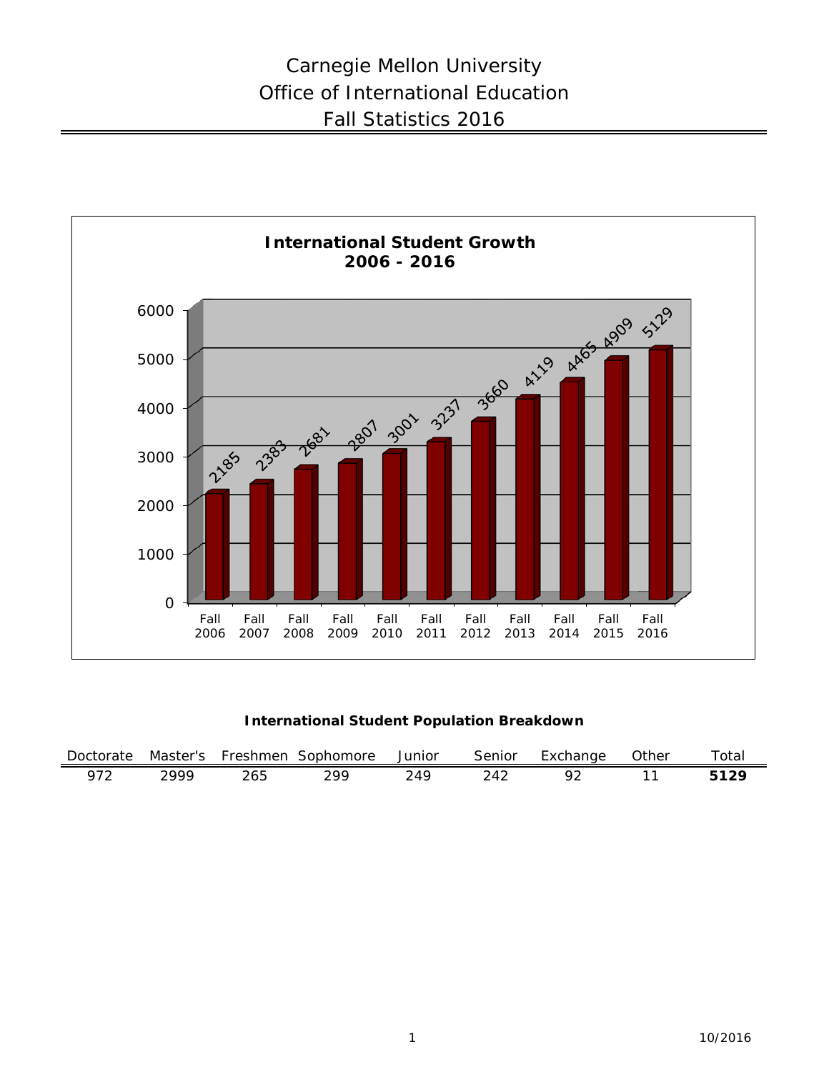

**International Student Population Breakdown**

| Doctorate           | Master's | Freshmen      | Sophomore | Junior | Senior          | cxchange | )ther | $\tau$ otar |
|---------------------|----------|---------------|-----------|--------|-----------------|----------|-------|-------------|
| $07^{\circ}$<br>ے ، | ח הר     | $\sim$<br>دەء | วดด       | ى م    | $\overline{11}$ |          |       | 10C         |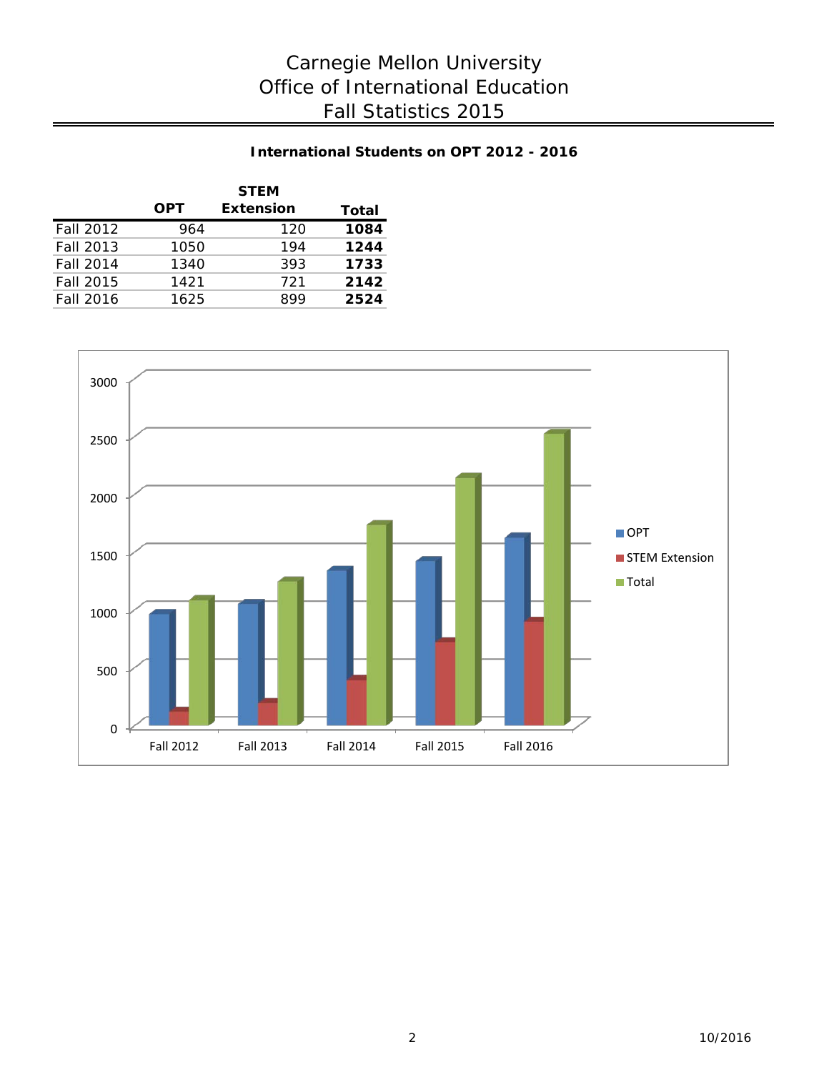# **International Students on OPT 2012 - 2016**

|                  |            | <b>STEM</b>      |       |
|------------------|------------|------------------|-------|
|                  | <b>OPT</b> | <b>Extension</b> | Total |
| Fall 2012        | 964        | 120              | 1084  |
| Fall 2013        | 1050       | 194              | 1244  |
| Fall 2014        | 1340       | 393              | 1733  |
| Fall 2015        | 1421       | 721              | 2142  |
| <b>Fall 2016</b> | 1625       | 899              | 2524  |

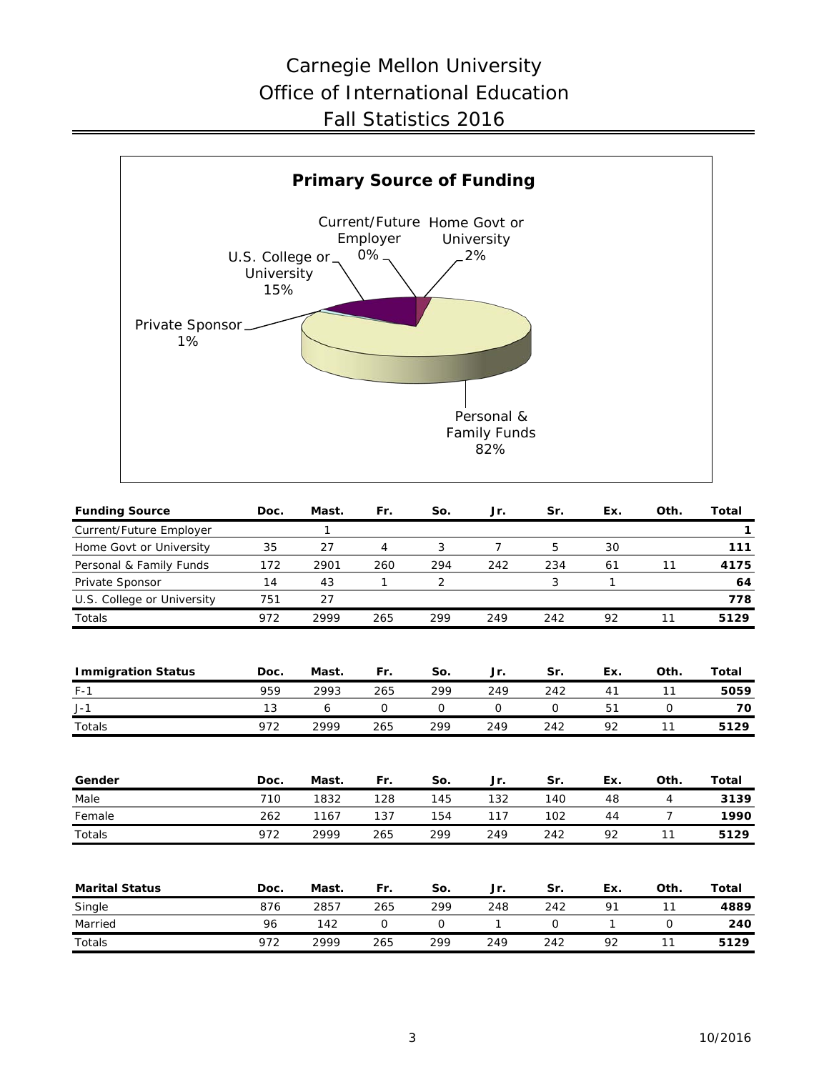# Carnegie Mellon University Office of International Education Fall Statistics 2016



| <b>Funding Source</b>      | Doc. | Mast.        | Fr.            | So. | Jr.            | Sr.          | Ex.          | Oth.           | <b>Total</b> |
|----------------------------|------|--------------|----------------|-----|----------------|--------------|--------------|----------------|--------------|
| Current/Future Employer    |      | $\mathbf{1}$ |                |     |                |              |              |                | 1            |
| Home Govt or University    | 35   | 27           | $\overline{4}$ | 3   | $\overline{7}$ | 5            | 30           |                | 111          |
| Personal & Family Funds    | 172  | 2901         | 260            | 294 | 242            | 234          | 61           | 11             | 4175         |
| Private Sponsor            | 14   | 43           | 1              | 2   |                | 3            | 1            |                | 64           |
| U.S. College or University | 751  | 27           |                |     |                |              |              |                | 778          |
| Totals                     | 972  | 2999         | 265            | 299 | 249            | 242          | 92           | 11             | 5129         |
| <b>Immigration Status</b>  | Doc. | Mast.        | Fr.            | So. | Jr.            | Sr.          | Ex.          | Oth.           | <b>Total</b> |
| $F-1$                      | 959  | 2993         | 265            | 299 | 249            | 242          | 41           | 11             | 5059         |
| $J-1$                      | 13   | 6            | 0              | 0   | 0              | 0            | 51           | 0              | 70           |
| Totals                     | 972  | 2999         | 265            | 299 | 249            | 242          | 92           | 11             | 5129         |
| Gender                     | Doc. | Mast.        | Fr.            | So. | Jr.            | Sr.          | Ex.          | Oth.           | <b>Total</b> |
| Male                       | 710  | 1832         | 128            | 145 | 132            | 140          | 48           | $\overline{4}$ | 3139         |
| Female                     | 262  | 1167         | 137            | 154 | 117            | 102          | 44           | 7              | 1990         |
| Totals                     | 972  | 2999         | 265            | 299 | 249            | 242          | 92           | 11             | 5129         |
| <b>Marital Status</b>      | Doc. | Mast.        | Fr.            | So. | Jr.            | Sr.          | Ex.          | Oth.           | <b>Total</b> |
| Single                     | 876  | 2857         | 265            | 299 | 248            | 242          | 91           | 11             | 4889         |
| Married                    | 96   | 142          | 0              | 0   | $\mathbf{1}$   | $\mathsf{O}$ | $\mathbf{1}$ | 0              | 240          |
| Totals                     | 972  | 2999         | 265            | 299 | 249            | 242          | 92           | 11             | 5129         |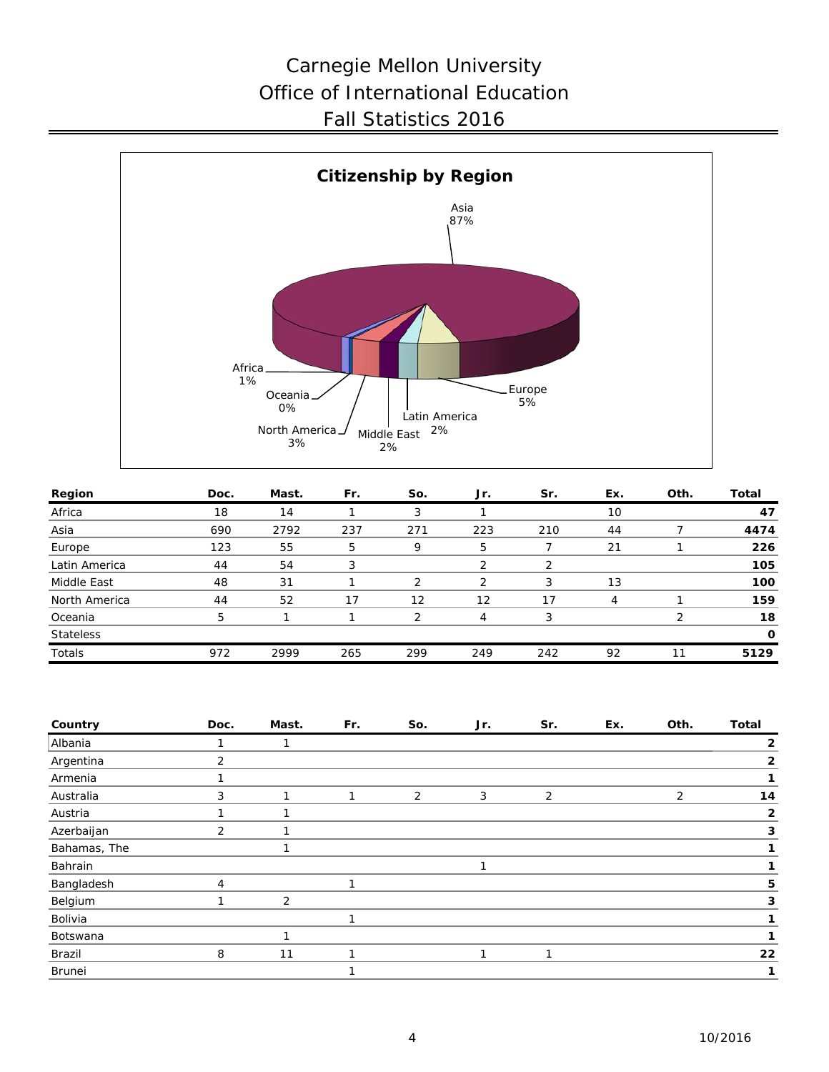# Carnegie Mellon University Office of International Education Fall Statistics 2016



| Region           | Doc. | Mast. | Fr. | So. | Jr. | Sr. | Ex. | Oth. | Total    |
|------------------|------|-------|-----|-----|-----|-----|-----|------|----------|
| Africa           | 18   | 14    |     | 3   |     |     | 10  |      | 47       |
| Asia             | 690  | 2792  | 237 | 271 | 223 | 210 | 44  |      | 4474     |
| Europe           | 123  | 55    | 5   | 9   | 5   |     | 21  |      | 226      |
| Latin America    | 44   | 54    |     |     | 2   | っ   |     |      | 105      |
| Middle East      | 48   | 31    |     |     | 2   | 3   | 13  |      | 100      |
| North America    | 44   | 52    |     | 12  | 12  | 17  | 4   |      | 159      |
| Oceania          | 5    |       |     | ◠   | 4   | 3   |     | ◠    | 18       |
| <b>Stateless</b> |      |       |     |     |     |     |     |      | $\Omega$ |
| Totals           | 972  | 2999  | 265 | 299 | 249 | 242 | 92  | 11   | 5129     |

| Country      | Doc. | Mast. | Fr. | So. | Jr. | Sr. | Ex. | Oth.           | <b>Total</b> |
|--------------|------|-------|-----|-----|-----|-----|-----|----------------|--------------|
| Albania      |      |       |     |     |     |     |     |                | 2            |
| Argentina    | 2    |       |     |     |     |     |     |                | 2            |
| Armenia      |      |       |     |     |     |     |     |                |              |
| Australia    | 3    |       |     | 2   | 3   | 2   |     | $\overline{2}$ | 14           |
| Austria      |      |       |     |     |     |     |     |                | $\mathbf{2}$ |
| Azerbaijan   | 2    |       |     |     |     |     |     |                | 3            |
| Bahamas, The |      |       |     |     |     |     |     |                |              |
| Bahrain      |      |       |     |     |     |     |     |                |              |
| Bangladesh   | 4    |       |     |     |     |     |     |                | 5            |
| Belgium      |      | 2     |     |     |     |     |     |                | 3            |
| Bolivia      |      |       |     |     |     |     |     |                |              |
| Botswana     |      | ◄     |     |     |     |     |     |                |              |
| Brazil       | 8    | 11    |     |     |     |     |     |                | 22           |
| Brunei       |      |       |     |     |     |     |     |                |              |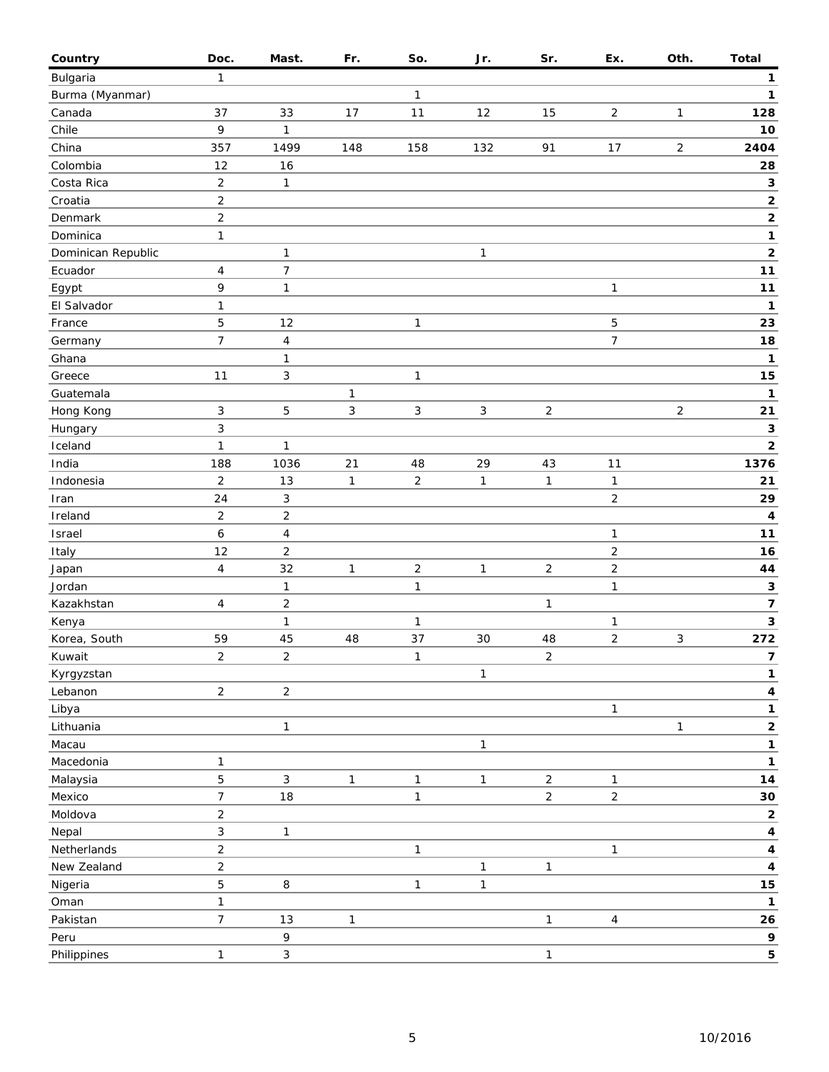| Country            | Doc.                    | Mast.                   | Fr.          | So.            | Jr.          | Sr.            | Ex.            | Oth.           | <b>Total</b>                          |
|--------------------|-------------------------|-------------------------|--------------|----------------|--------------|----------------|----------------|----------------|---------------------------------------|
| Bulgaria           | $\mathbf{1}$            |                         |              |                |              |                |                |                | 1                                     |
| Burma (Myanmar)    |                         |                         |              | $\mathbf{1}$   |              |                |                |                | 1                                     |
| Canada             | 37                      | 33                      | 17           | 11             | 12           | 15             | $\overline{c}$ | 1              | 128                                   |
| Chile              | 9                       | $\mathbf{1}$            |              |                |              |                |                |                | 10                                    |
| China              | 357                     | 1499                    | 148          | 158            | 132          | 91             | 17             | $\overline{2}$ | 2404                                  |
| Colombia           | 12                      | 16                      |              |                |              |                |                |                | 28                                    |
| Costa Rica         | $\overline{2}$          | $\mathbf{1}$            |              |                |              |                |                |                | $\mathbf 3$                           |
| Croatia            | $\sqrt{2}$              |                         |              |                |              |                |                |                | $\mathbf 2$                           |
| Denmark            | $\overline{c}$          |                         |              |                |              |                |                |                | 2                                     |
| Dominica           | $\mathbf{1}$            |                         |              |                |              |                |                |                | 1                                     |
| Dominican Republic |                         | $\mathbf{1}$            |              |                | $\mathbf{1}$ |                |                |                | $\mathbf 2$                           |
| Ecuador            | $\overline{4}$          | $\boldsymbol{7}$        |              |                |              |                |                |                | $11$                                  |
| Egypt              | 9                       | $\mathbf{1}$            |              |                |              |                | 1              |                | 11                                    |
| El Salvador        | $\mathbf{1}$            |                         |              |                |              |                |                |                | $\mathbf{1}$                          |
| France             | 5                       | 12                      |              | 1              |              |                | 5              |                | 23                                    |
| Germany            | $\overline{7}$          | $\overline{\mathbf{4}}$ |              |                |              |                | 7              |                | 18                                    |
| Ghana              |                         | $\mathbf{1}$            |              |                |              |                |                |                | $\mathbf{1}$                          |
| Greece             | 11                      | 3                       |              | $\mathbf{1}$   |              |                |                |                | 15                                    |
| Guatemala          |                         |                         | $\mathbf{1}$ |                |              |                |                |                | $\mathbf{1}$                          |
| Hong Kong          | $\sqrt{3}$              | 5                       | 3            | $\mathbf{3}$   | $\sqrt{3}$   | $\overline{2}$ |                | $\sqrt{2}$     | 21                                    |
| Hungary            | 3                       |                         |              |                |              |                |                |                | 3                                     |
| Iceland            | $\mathbf{1}$            | 1                       |              |                |              |                |                |                | $\mathbf{2}$                          |
| India              | 188                     | 1036                    | 21           | 48             | 29           | 43             | 11             |                | 1376                                  |
| Indonesia          | $\overline{2}$          | 13                      | $\mathbf{1}$ | $\overline{2}$ | $\mathbf{1}$ | $\mathbf{1}$   | 1              |                | 21                                    |
| Iran               | 24                      | 3                       |              |                |              |                | $\overline{c}$ |                | 29                                    |
| Ireland            | $\overline{2}$          | $\overline{c}$          |              |                |              |                |                |                | 4                                     |
| Israel             | $\boldsymbol{6}$        | 4                       |              |                |              |                | 1              |                | $11$                                  |
| Italy              | 12                      | $\overline{c}$          |              |                |              |                | 2              |                | 16                                    |
| Japan              | $\overline{\mathbf{4}}$ | 32                      | 1            | $\overline{2}$ | $\mathbf{1}$ | $\overline{2}$ | $\overline{c}$ |                | 44                                    |
| Jordan             |                         | $\mathbf{1}$            |              | $\mathbf{1}$   |              |                | $\mathbf{1}$   |                | 3                                     |
| Kazakhstan         | $\overline{4}$          | $\overline{c}$          |              |                |              | $\mathbf{1}$   |                |                | $\overline{\boldsymbol{\mathcal{I}}}$ |
| Kenya              |                         | $\mathbf{1}$            |              | $\mathbf{1}$   |              |                | 1              |                | $\mathbf{3}$                          |
| Korea, South       | 59                      | 45                      | 48           | 37             | 30           | 48             | $\overline{c}$ | 3              | 272                                   |
| Kuwait             | $\mathbf 2$             | $\overline{\mathbf{c}}$ |              | $\mathbf{1}$   |              | $\overline{c}$ |                |                | $\overline{7}$                        |
| Kyrgyzstan         |                         |                         |              |                | $\mathbf{1}$ |                |                |                | 1                                     |
| Lebanon            | $\sqrt{2}$              | $\overline{c}$          |              |                |              |                |                |                | 4                                     |
| Libya              |                         |                         |              |                |              |                | 1              |                | 1                                     |
| Lithuania          |                         | $\mathbf{1}$            |              |                |              |                |                | 1              | $\mathbf{2}$                          |
|                    |                         |                         |              |                |              |                |                |                |                                       |
| Macau              | $\mathbf{1}$            |                         |              |                | $\mathbf{1}$ |                |                |                | 1                                     |
| Macedonia          | 5                       |                         | $\mathbf{1}$ | $\mathbf{1}$   |              | $\overline{c}$ |                |                | 1<br>14                               |
| Malaysia           |                         | 3                       |              |                | $\mathbf{1}$ |                | $\mathbf{1}$   |                |                                       |
| Mexico<br>Moldova  | $\overline{7}$          | 18                      |              | $\mathbf{1}$   |              | $\overline{c}$ | $\overline{c}$ |                | 30                                    |
|                    | $\overline{2}$          |                         |              |                |              |                |                |                | $\mathbf{2}$                          |
| Nepal              | 3                       | $\mathbf{1}$            |              |                |              |                |                |                | 4                                     |
| Netherlands        | $\mathbf 2$             |                         |              | $\mathbf{1}$   |              |                | $\mathbf{1}$   |                | 4                                     |
| New Zealand        | $\overline{c}$          |                         |              |                | $\mathbf{1}$ | 1              |                |                | 4                                     |
| Nigeria            | 5                       | 8                       |              | $\mathbf{1}$   | $\mathbf{1}$ |                |                |                | 15                                    |
| Oman               | $\mathbf{1}$            |                         |              |                |              |                |                |                | 1                                     |
| Pakistan           | $\overline{7}$          | $13$                    | 1            |                |              | $\mathbf{1}$   | $\overline{4}$ |                | 26                                    |
| Peru               |                         | 9                       |              |                |              |                |                |                | 9                                     |
| Philippines        | $\mathbf{1}$            | 3                       |              |                |              | 1              |                |                | 5                                     |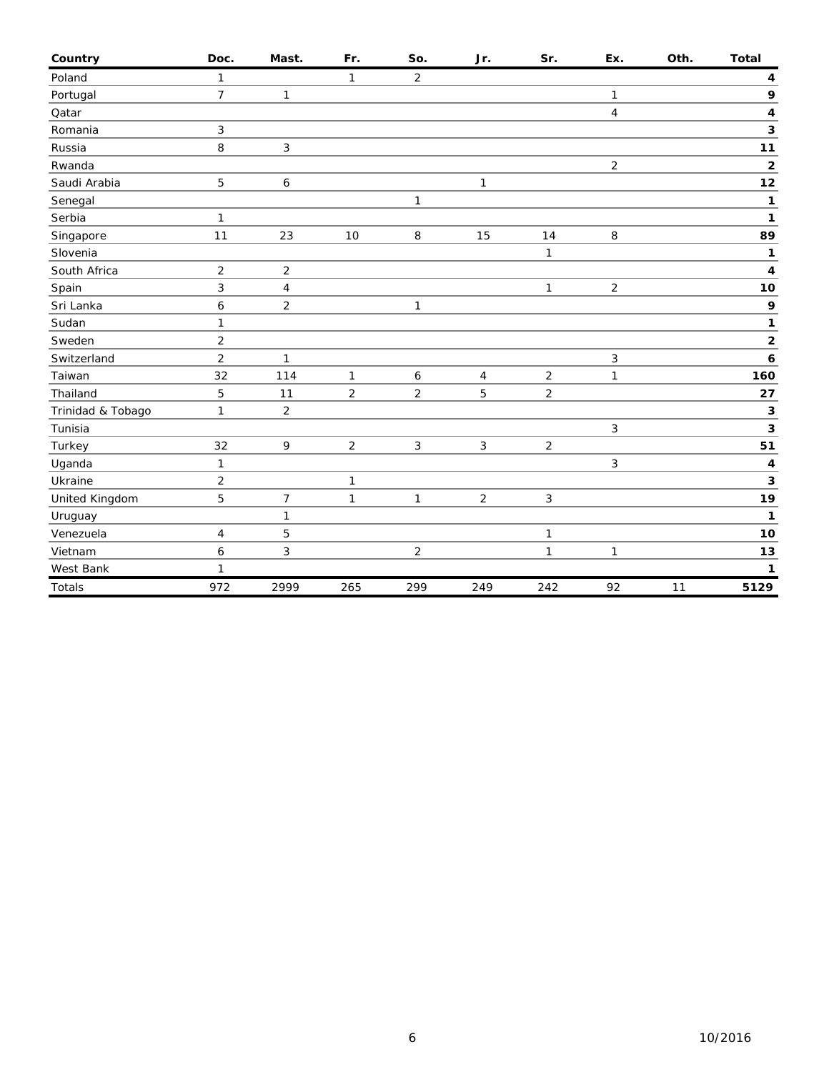| Country           | Doc.           | Mast.          | Fr.            | So.              | Jr.                      | Sr.            | Ex.            | Oth. | <b>Total</b> |
|-------------------|----------------|----------------|----------------|------------------|--------------------------|----------------|----------------|------|--------------|
| Poland            | $\mathbf{1}$   |                | 1              | $\overline{2}$   |                          |                |                |      | 4            |
| Portugal          | $\overline{7}$ | $\mathbf{1}$   |                |                  |                          |                | 1              |      | 9            |
| Qatar             |                |                |                |                  |                          |                | $\overline{4}$ |      | 4            |
| Romania           | 3              |                |                |                  |                          |                |                |      | 3            |
| Russia            | 8              | 3              |                |                  |                          |                |                |      | 11           |
| Rwanda            |                |                |                |                  |                          |                | $\overline{2}$ |      | $\mathbf 2$  |
| Saudi Arabia      | 5              | 6              |                |                  | $\mathbf{1}$             |                |                |      | 12           |
| Senegal           |                |                |                | $\mathbf{1}$     |                          |                |                |      | 1            |
| Serbia            | 1              |                |                |                  |                          |                |                |      | 1            |
| Singapore         | 11             | 23             | 10             | 8                | 15                       | 14             | 8              |      | 89           |
| Slovenia          |                |                |                |                  |                          | $\mathbf{1}$   |                |      | 1            |
| South Africa      | $\overline{2}$ | $\overline{2}$ |                |                  |                          |                |                |      | 4            |
| Spain             | 3              | 4              |                |                  |                          | 1              | $\overline{2}$ |      | 10           |
| Sri Lanka         | 6              | $\overline{c}$ |                | $\mathbf{1}$     |                          |                |                |      | 9            |
| Sudan             | $\mathbf{1}$   |                |                |                  |                          |                |                |      | 1            |
| Sweden            | $\overline{2}$ |                |                |                  |                          |                |                |      | $\mathbf 2$  |
| Switzerland       | $\overline{2}$ | 1              |                |                  |                          |                | 3              |      | 6            |
| Taiwan            | 32             | 114            | $\mathbf{1}$   | $\boldsymbol{6}$ | $\overline{\mathcal{A}}$ | $\overline{c}$ | $\mathbf{1}$   |      | 160          |
| Thailand          | 5              | 11             | $\overline{2}$ | $\overline{2}$   | 5                        | $\overline{2}$ |                |      | 27           |
| Trinidad & Tobago | 1              | $\overline{2}$ |                |                  |                          |                |                |      | 3            |
| Tunisia           |                |                |                |                  |                          |                | 3              |      | 3            |
| Turkey            | 32             | 9              | $\overline{2}$ | $\mathbf{3}$     | $\mathbf{3}$             | $\overline{2}$ |                |      | 51           |
| Uganda            | 1              |                |                |                  |                          |                | 3              |      | 4            |
| Ukraine           | $\overline{c}$ |                | $\mathbf{1}$   |                  |                          |                |                |      | 3            |
| United Kingdom    | 5              | 7              | $\mathbf{1}$   | $\mathbf{1}$     | $\overline{2}$           | 3              |                |      | 19           |
| Uruguay           |                | $\mathbf{1}$   |                |                  |                          |                |                |      | 1            |
| Venezuela         | 4              | 5              |                |                  |                          | 1              |                |      | 10           |
| Vietnam           | 6              | 3              |                | $\overline{2}$   |                          | $\mathbf{1}$   | $\mathbf{1}$   |      | 13           |
| West Bank         | 1              |                |                |                  |                          |                |                |      | 1            |
| Totals            | 972            | 2999           | 265            | 299              | 249                      | 242            | 92             | 11   | 5129         |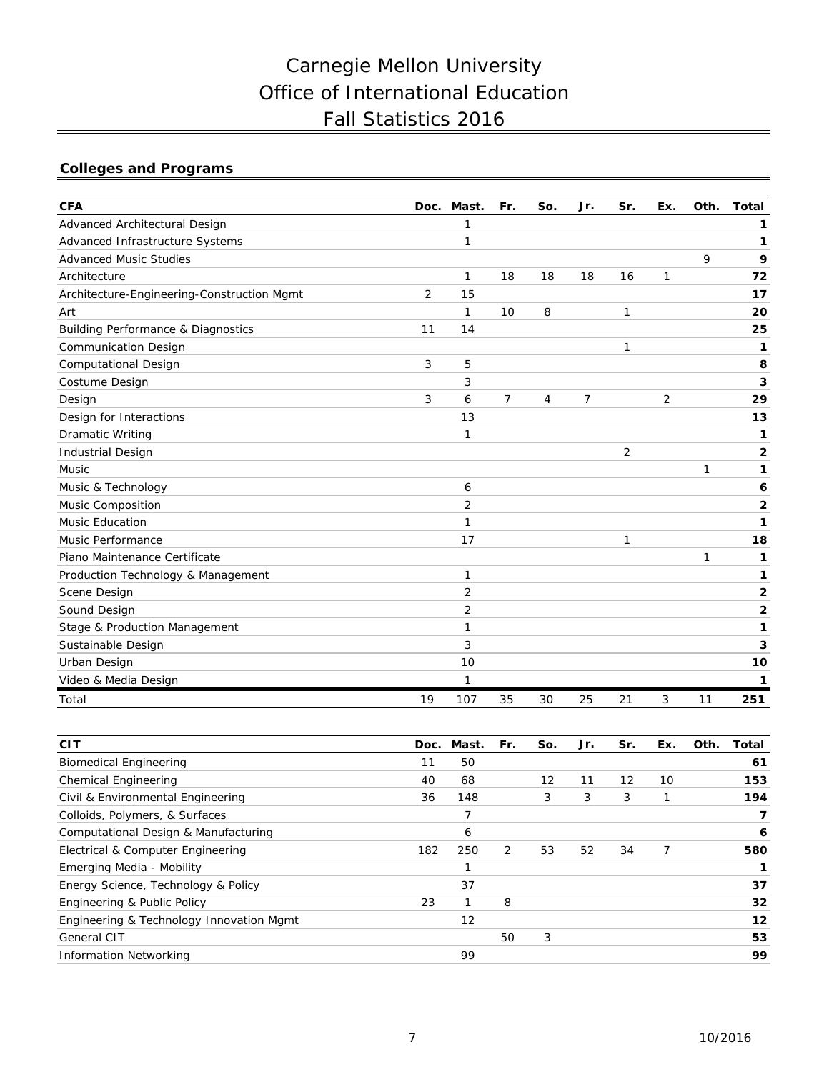# Carnegie Mellon University Office of International Education Fall Statistics 2016

# **Colleges and Programs**

| <b>CFA</b>                                    | Doc. | Mast.          | Fr.            | So. | Jr. | Sr.            | Ex. | Oth. | <b>Total</b>   |
|-----------------------------------------------|------|----------------|----------------|-----|-----|----------------|-----|------|----------------|
| Advanced Architectural Design                 |      | 1              |                |     |     |                |     |      | 1              |
| Advanced Infrastructure Systems               |      | 1              |                |     |     |                |     |      | 1              |
| <b>Advanced Music Studies</b>                 |      |                |                |     |     |                |     | 9    | 9              |
| Architecture                                  |      | $\mathbf{1}$   | 18             | 18  | 18  | 16             | 1   |      | 72             |
| Architecture-Engineering-Construction Mgmt    | 2    | 15             |                |     |     |                |     |      | 17             |
| Art                                           |      | 1              | 10             | 8   |     | 1              |     |      | 20             |
| <b>Building Performance &amp; Diagnostics</b> | 11   | 14             |                |     |     |                |     |      | 25             |
| <b>Communication Design</b>                   |      |                |                |     |     | 1              |     |      | 1              |
| <b>Computational Design</b>                   | 3    | 5              |                |     |     |                |     |      | 8              |
| Costume Design                                |      | 3              |                |     |     |                |     |      | 3              |
| Design                                        | 3    | 6              | $\overline{7}$ | 4   | 7   |                | 2   |      | 29             |
| Design for Interactions                       |      | 13             |                |     |     |                |     |      | 13             |
| <b>Dramatic Writing</b>                       |      | 1              |                |     |     |                |     |      | 1              |
| <b>Industrial Design</b>                      |      |                |                |     |     | $\overline{2}$ |     |      | $\overline{2}$ |
| <b>Music</b>                                  |      |                |                |     |     |                |     | 1    | 1              |
| Music & Technology                            |      | 6              |                |     |     |                |     |      | 6              |
| Music Composition                             |      | $\overline{2}$ |                |     |     |                |     |      | 2              |
| <b>Music Education</b>                        |      | 1              |                |     |     |                |     |      | 1              |
| Music Performance                             |      | 17             |                |     |     | 1              |     |      | 18             |
| Piano Maintenance Certificate                 |      |                |                |     |     |                |     | 1    | 1              |
| Production Technology & Management            |      | 1              |                |     |     |                |     |      | 1              |
| Scene Design                                  |      | 2              |                |     |     |                |     |      | 2              |
| Sound Design                                  |      | 2              |                |     |     |                |     |      | 2              |
| Stage & Production Management                 |      | 1              |                |     |     |                |     |      | 1              |
| Sustainable Design                            |      | 3              |                |     |     |                |     |      | 3              |
| Urban Design                                  |      | 10             |                |     |     |                |     |      | 10             |
| Video & Media Design                          |      | 1              |                |     |     |                |     |      | 1              |
| Total                                         | 19   | 107            | 35             | 30  | 25  | 21             | 3   | 11   | 251            |

| <b>CIT</b>                               | Doc. | Mast. | Fr.           | So. | Jr. | Sr. | Ex. | Oth. | Total |
|------------------------------------------|------|-------|---------------|-----|-----|-----|-----|------|-------|
| <b>Biomedical Engineering</b>            | 11   | 50    |               |     |     |     |     |      | 61    |
| <b>Chemical Engineering</b>              | 40   | 68    |               | 12  | 11  | 12  | 10  |      | 153   |
| Civil & Environmental Engineering        | 36   | 148   |               | 3   | 3   | 3   |     |      | 194   |
| Colloids, Polymers, & Surfaces           |      |       |               |     |     |     |     |      | 7     |
| Computational Design & Manufacturing     |      | 6     |               |     |     |     |     |      | 6     |
| Electrical & Computer Engineering        | 182  | 250   | $\mathcal{P}$ | 53  | 52  | 34  |     |      | 580   |
| Emerging Media - Mobility                |      |       |               |     |     |     |     |      |       |
| Energy Science, Technology & Policy      |      | 37    |               |     |     |     |     |      | 37    |
| Engineering & Public Policy              | 23   |       | 8             |     |     |     |     |      | 32    |
| Engineering & Technology Innovation Mgmt |      | 12    |               |     |     |     |     |      | 12    |
| General CIT                              |      |       | 50            | 3   |     |     |     |      | 53    |
| <b>Information Networking</b>            |      | 99    |               |     |     |     |     |      | 99    |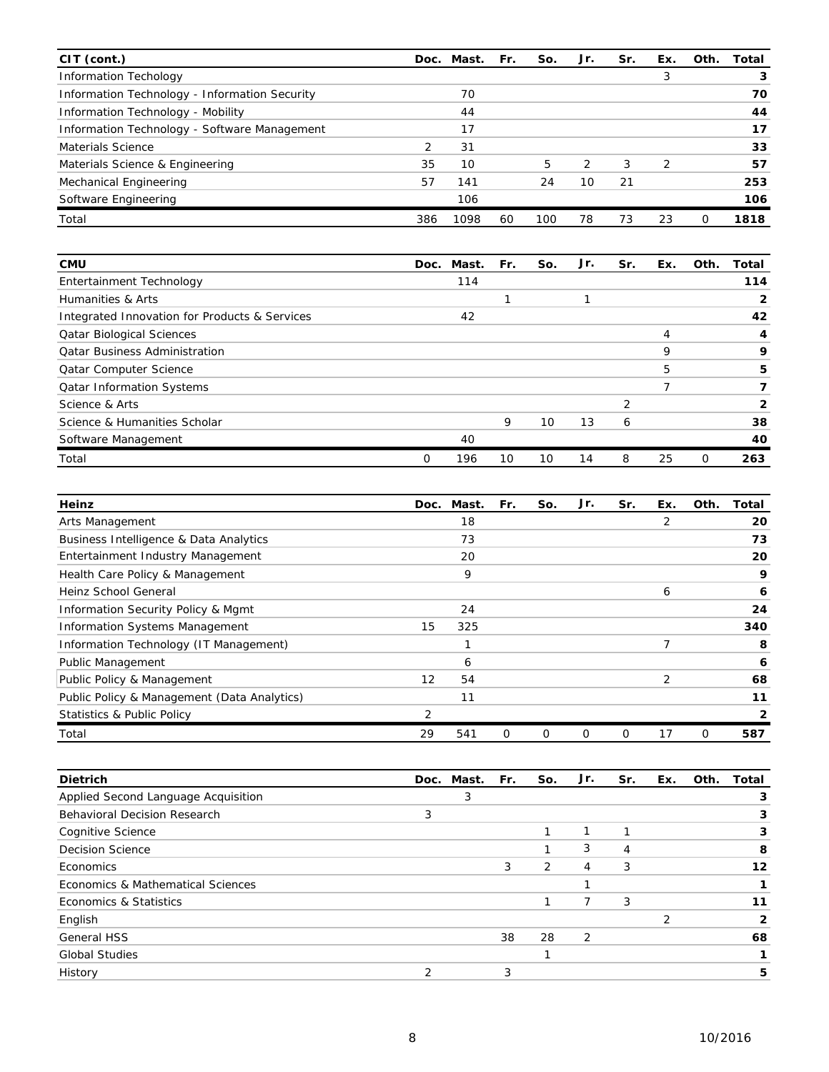| CIT (cont.)                                   |     | Doc. Mast. | Fr. | So. | Jr. | Sr. | Ex.           | Oth.     | Total |
|-----------------------------------------------|-----|------------|-----|-----|-----|-----|---------------|----------|-------|
| <b>Information Techology</b>                  |     |            |     |     |     |     | 3             |          | 3     |
| Information Technology - Information Security |     | 70         |     |     |     |     |               |          | 70    |
| Information Technology - Mobility             |     | 44         |     |     |     |     |               |          | 44    |
| Information Technology - Software Management  |     | 17         |     |     |     |     |               |          | 17    |
| Materials Science                             | 2   | 31         |     |     |     |     |               |          | 33    |
| Materials Science & Engineering               | 35  | 10         |     | 5   | 2   | 3   | $\mathcal{P}$ |          | 57    |
| Mechanical Engineering                        | 57  | 141        |     | 24  | 10  | 21  |               |          | 253   |
| Software Engineering                          |     | 106        |     |     |     |     |               |          | 106   |
| Total                                         | 386 | 1098       | 60  | 100 | 78  | 73  | 23            | $\Omega$ | 1818  |

| <b>CMU</b>                                    | Doc. | Mast. | Fr. | So. | Jr. | Sr. | Ex. | Oth. | Total |
|-----------------------------------------------|------|-------|-----|-----|-----|-----|-----|------|-------|
| Entertainment Technology                      |      | 114   |     |     |     |     |     |      | 114   |
| Humanities & Arts                             |      |       |     |     |     |     |     |      |       |
| Integrated Innovation for Products & Services |      | 42    |     |     |     |     |     |      | 42    |
| <b>Qatar Biological Sciences</b>              |      |       |     |     |     |     | 4   |      | 4     |
| <b>Qatar Business Administration</b>          |      |       |     |     |     |     | 9   |      | 9     |
| <b>Qatar Computer Science</b>                 |      |       |     |     |     |     | 5   |      | 5     |
| <b>Qatar Information Systems</b>              |      |       |     |     |     |     |     |      |       |
| Science & Arts                                |      |       |     |     |     |     |     |      |       |
| Science & Humanities Scholar                  |      |       | 9   | 10  | 13  | 6   |     |      | 38    |
| Software Management                           |      | 40    |     |     |     |     |     |      | 40    |
| Total                                         | 0    | 196   | 10  | 10  | 14  | 8   | 25  | 0    | 263   |

| Heinz                                       | Doc. | Mast. | Fr. | So. | Jr. | Sr. | Ex. | Oth. | Total        |
|---------------------------------------------|------|-------|-----|-----|-----|-----|-----|------|--------------|
| Arts Management                             |      | 18    |     |     |     |     | 2   |      | 20           |
| Business Intelligence & Data Analytics      |      | 73    |     |     |     |     |     |      | 73           |
| Entertainment Industry Management           |      | 20    |     |     |     |     |     |      | 20           |
| Health Care Policy & Management             |      | 9     |     |     |     |     |     |      | 9            |
| Heinz School General                        |      |       |     |     |     |     | 6   |      | 6            |
| Information Security Policy & Mgmt          |      | 24    |     |     |     |     |     |      | 24           |
| <b>Information Systems Management</b>       | 15   | 325   |     |     |     |     |     |      | 340          |
| Information Technology (IT Management)      |      |       |     |     |     |     |     |      | 8            |
| Public Management                           |      | 6     |     |     |     |     |     |      | 6            |
| Public Policy & Management                  | 12   | 54    |     |     |     |     | 2   |      | 68           |
| Public Policy & Management (Data Analytics) |      | 11    |     |     |     |     |     |      | 11           |
| <b>Statistics &amp; Public Policy</b>       | 2    |       |     |     |     |     |     |      | $\mathbf{2}$ |
| Total                                       | 29   | 541   | Ω   | 0   | 0   | 0   | 17  | 0    | 587          |

| <b>Dietrich</b>                     |   | Doc. Mast. Fr. |    | So. | Jr. | Sr. | Ex. | Oth. | Total |
|-------------------------------------|---|----------------|----|-----|-----|-----|-----|------|-------|
| Applied Second Language Acquisition |   |                |    |     |     |     |     |      | з     |
| <b>Behavioral Decision Research</b> | 3 |                |    |     |     |     |     |      | 3     |
| Cognitive Science                   |   |                |    |     |     |     |     |      | 3     |
| <b>Decision Science</b>             |   |                |    |     | 3   | 4   |     |      | 8     |
| Economics                           |   |                | 3  | 2   | 4   | 3   |     |      | 12    |
| Economics & Mathematical Sciences   |   |                |    |     |     |     |     |      |       |
| Economics & Statistics              |   |                |    |     |     | 3   |     |      | 11    |
| English                             |   |                |    |     |     |     |     |      |       |
| <b>General HSS</b>                  |   |                | 38 | 28  | 2   |     |     |      | 68    |
| <b>Global Studies</b>               |   |                |    |     |     |     |     |      |       |
| History                             | ົ |                | 3  |     |     |     |     |      | 5     |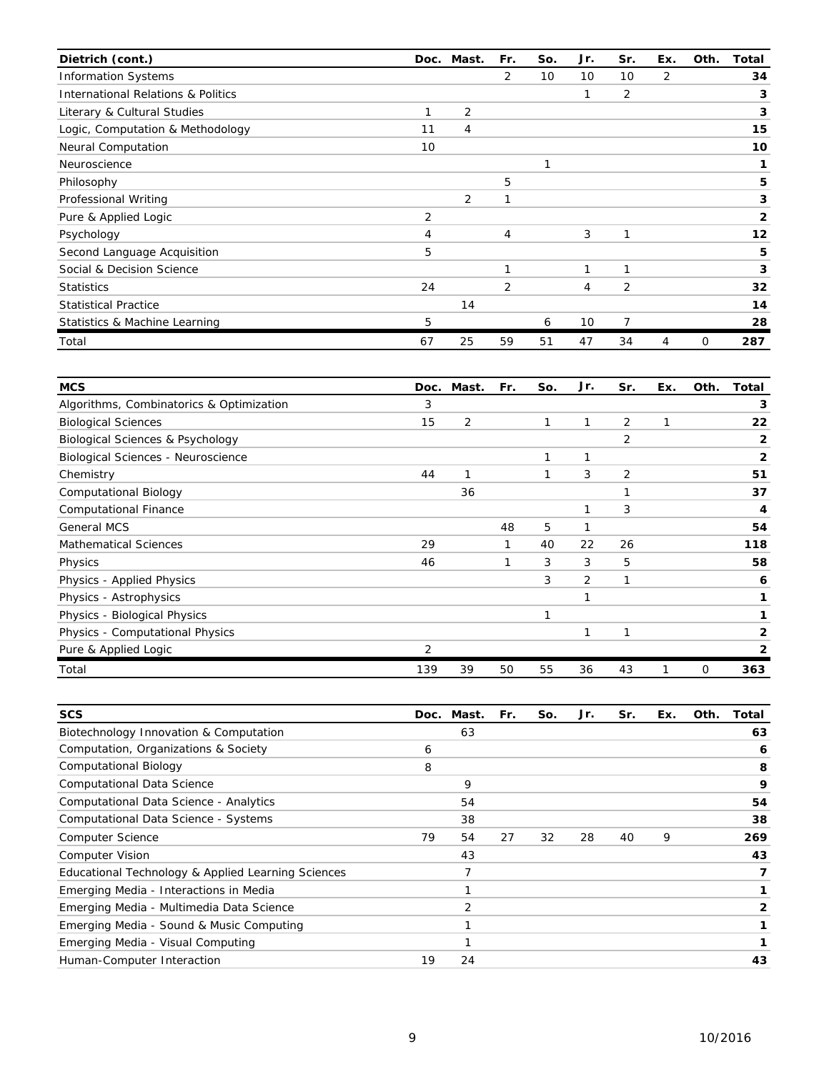| Dietrich (cont.)                              |                | Doc. Mast.     | Fr. | So. | Jr. | Sr.            | Ex. | Oth. | Total        |
|-----------------------------------------------|----------------|----------------|-----|-----|-----|----------------|-----|------|--------------|
| <b>Information Systems</b>                    |                |                | 2   | 10  | 10  | 10             | 2   |      | 34           |
| <b>International Relations &amp; Politics</b> |                |                |     |     | 1   | 2              |     |      | 3            |
| Literary & Cultural Studies                   |                | 2              |     |     |     |                |     |      | 3            |
| Logic, Computation & Methodology              | 11             | 4              |     |     |     |                |     |      | 15           |
| <b>Neural Computation</b>                     | 10             |                |     |     |     |                |     |      | 10           |
| Neuroscience                                  |                |                |     | 1   |     |                |     |      | 1            |
| Philosophy                                    |                |                | 5   |     |     |                |     |      | 5            |
| Professional Writing                          |                | $\overline{2}$ | 1   |     |     |                |     |      | 3            |
| Pure & Applied Logic                          | $\overline{2}$ |                |     |     |     |                |     |      | $\mathbf{2}$ |
| Psychology                                    | $\overline{4}$ |                | 4   |     | 3   | 1              |     |      | 12           |
| Second Language Acquisition                   | 5              |                |     |     |     |                |     |      | 5            |
| Social & Decision Science                     |                |                | 1   |     | 1   | 1              |     |      | 3            |
| <b>Statistics</b>                             | 24             |                | 2   |     | 4   | 2              |     |      | 32           |
| <b>Statistical Practice</b>                   |                | 14             |     |     |     |                |     |      | 14           |
| Statistics & Machine Learning                 | 5              |                |     | 6   | 10  | $\overline{7}$ |     |      | 28           |
| Total                                         | 67             | 25             | 59  | 51  | 47  | 34             | 4   | 0    | 287          |

| <b>MCS</b>                                  | Doc. | Mast. | Fr. | So. | Jr. | Sr. | Ex. | Oth. | Total          |
|---------------------------------------------|------|-------|-----|-----|-----|-----|-----|------|----------------|
| Algorithms, Combinatorics & Optimization    | 3    |       |     |     |     |     |     |      | 3              |
| <b>Biological Sciences</b>                  | 15   | 2     |     | 1   | 1   | 2   |     |      | 22             |
| <b>Biological Sciences &amp; Psychology</b> |      |       |     |     |     | 2   |     |      | 2              |
| Biological Sciences - Neuroscience          |      |       |     | 1   | 1   |     |     |      | $\overline{2}$ |
| Chemistry                                   | 44   | 1     |     | 1   | 3   | 2   |     |      | 51             |
| Computational Biology                       |      | 36    |     |     |     |     |     |      | 37             |
| <b>Computational Finance</b>                |      |       |     |     | 1   | 3   |     |      | 4              |
| <b>General MCS</b>                          |      |       | 48  | 5   | 1   |     |     |      | 54             |
| <b>Mathematical Sciences</b>                | 29   |       | 1   | 40  | 22  | 26  |     |      | 118            |
| Physics                                     | 46   |       | 1   | 3   | 3   | 5   |     |      | 58             |
| Physics - Applied Physics                   |      |       |     | 3   | 2   | 1   |     |      | 6              |
| Physics - Astrophysics                      |      |       |     |     | 1   |     |     |      | 1              |
| Physics - Biological Physics                |      |       |     | 1   |     |     |     |      |                |
| Physics - Computational Physics             |      |       |     |     | 1   | 1   |     |      | 2              |
| Pure & Applied Logic                        | 2    |       |     |     |     |     |     |      | 2              |
| Total                                       | 139  | 39    | 50  | 55  | 36  | 43  |     | 0    | 363            |

| <b>SCS</b>                                         |    | Doc. Mast. | Fr. | So. | Jr. | Sr. | Ex. | Oth. | Total |
|----------------------------------------------------|----|------------|-----|-----|-----|-----|-----|------|-------|
| Biotechnology Innovation & Computation             |    | 63         |     |     |     |     |     |      | 63    |
| Computation, Organizations & Society               | 6  |            |     |     |     |     |     |      | 6     |
| <b>Computational Biology</b>                       | 8  |            |     |     |     |     |     |      | 8     |
| <b>Computational Data Science</b>                  |    | 9          |     |     |     |     |     |      | 9     |
| Computational Data Science - Analytics             |    | 54         |     |     |     |     |     |      | 54    |
| Computational Data Science - Systems               |    | 38         |     |     |     |     |     |      | 38    |
| <b>Computer Science</b>                            | 79 | 54         | 27  | 32  | 28  | 40  | 9   |      | 269   |
| <b>Computer Vision</b>                             |    | 43         |     |     |     |     |     |      | 43    |
| Educational Technology & Applied Learning Sciences |    |            |     |     |     |     |     |      |       |
| Emerging Media - Interactions in Media             |    |            |     |     |     |     |     |      |       |
| Emerging Media - Multimedia Data Science           |    | 2          |     |     |     |     |     |      | 2     |
| Emerging Media - Sound & Music Computing           |    |            |     |     |     |     |     |      |       |
| Emerging Media - Visual Computing                  |    |            |     |     |     |     |     |      |       |
| Human-Computer Interaction                         | 19 | 24         |     |     |     |     |     |      | 43    |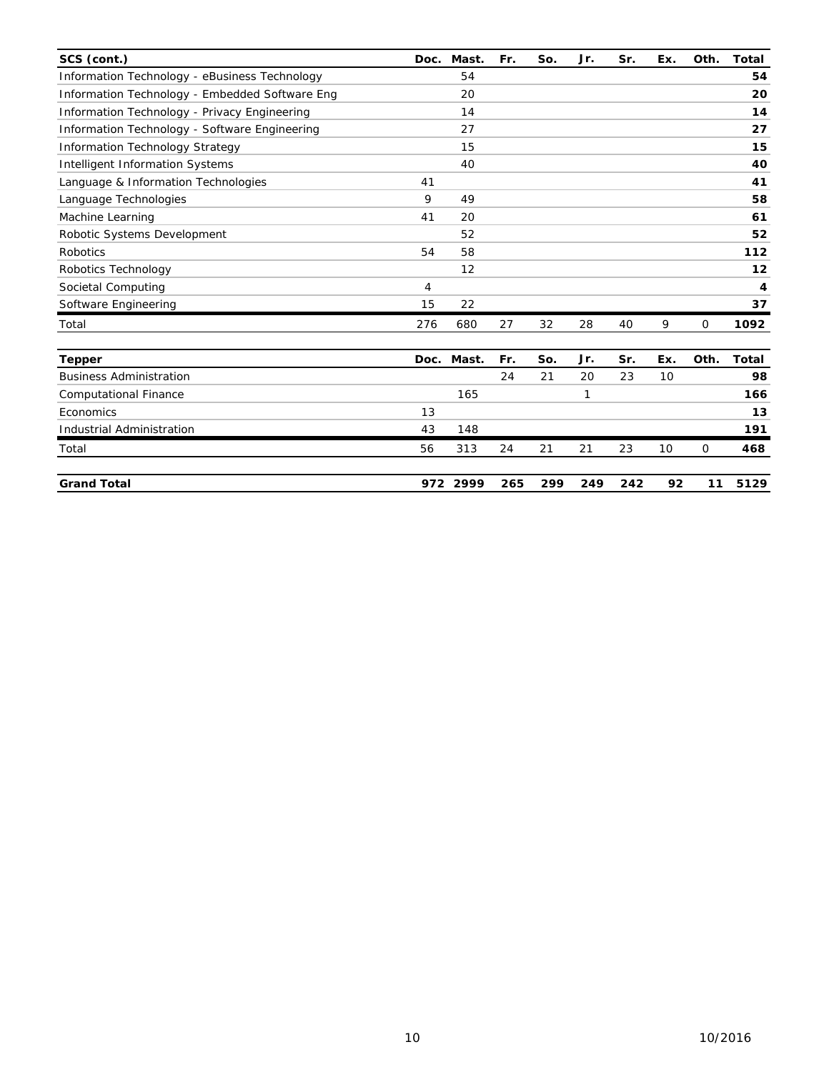| SCS (cont.)                                    | Doc. | Mast.             | Fr. | So. | Jr. | Sr. | Ex. | Oth. | <b>Total</b> |
|------------------------------------------------|------|-------------------|-----|-----|-----|-----|-----|------|--------------|
| Information Technology - eBusiness Technology  |      | 54                |     |     |     |     |     |      | 54           |
| Information Technology - Embedded Software Eng |      | 20                |     |     |     |     |     |      | 20           |
| Information Technology - Privacy Engineering   |      | 14                |     |     |     |     |     |      | 14           |
| Information Technology - Software Engineering  |      | 27                |     |     |     |     |     |      | 27           |
| <b>Information Technology Strategy</b>         |      | 15                |     |     |     |     |     |      | 15           |
| <b>Intelligent Information Systems</b>         |      | 40                |     |     |     |     |     |      | 40           |
| Language & Information Technologies            | 41   |                   |     |     |     |     |     |      | 41           |
| Language Technologies                          | 9    | 49                |     |     |     |     |     |      | 58           |
| Machine Learning                               | 41   | 20                |     |     |     |     |     |      | 61           |
| Robotic Systems Development                    |      | 52                |     |     |     |     |     |      | 52           |
| Robotics                                       | 54   | 58                |     |     |     |     |     |      | 112          |
| Robotics Technology                            |      | $12 \overline{ }$ |     |     |     |     |     |      | 12           |
| Societal Computing                             | 4    |                   |     |     |     |     |     |      | 4            |
| Software Engineering                           | 15   | 22                |     |     |     |     |     |      | 37           |
| Total                                          | 276  | 680               | 27  | 32  | 28  | 40  | 9   | 0    | 1092         |
| <b>Tepper</b>                                  | Doc. | Mast.             | Fr. | So. | Jr. | Sr. | Ex. | Oth. | Total        |
| <b>Business Administration</b>                 |      |                   | 24  | 21  | 20  | 23  | 10  |      | 98           |
| <b>Computational Finance</b>                   |      | 165               |     |     | 1   |     |     |      | 166          |
| Economics                                      | 13   |                   |     |     |     |     |     |      | 13           |
| <b>Industrial Administration</b>               | 43   | 148               |     |     |     |     |     |      | 191          |
| Total                                          | 56   | 313               | 24  | 21  | 21  | 23  | 10  | 0    | 468          |
| <b>Grand Total</b>                             |      | 972 2999          | 265 | 299 | 249 | 242 | 92  | 11   | 5129         |